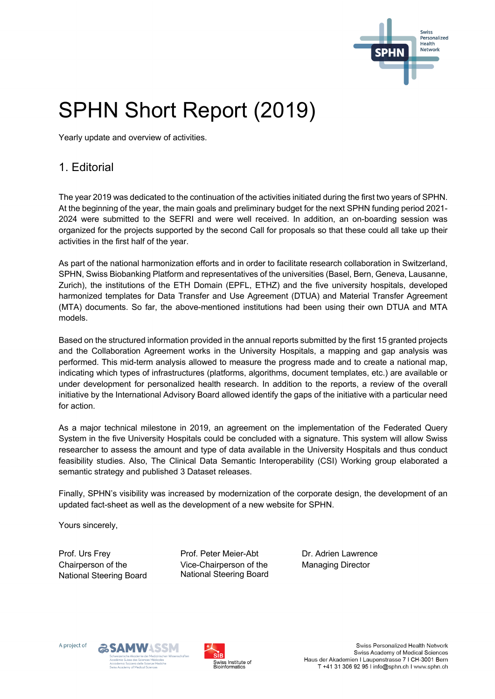

# SPHN Short Report (2019)

Yearly update and overview of activities.

# 1. Editorial

The year 2019 was dedicated to the continuation of the activities initiated during the first two years of SPHN. At the beginning of the year, the main goals and preliminary budget for the next SPHN funding period 2021- 2024 were submitted to the SEFRI and were well received. In addition, an on-boarding session was organized for the projects supported by the second Call for proposals so that these could all take up their activities in the first half of the year.

As part of the national harmonization efforts and in order to facilitate research collaboration in Switzerland, SPHN, Swiss Biobanking Platform and representatives of the universities (Basel, Bern, Geneva, Lausanne, Zurich), the institutions of the ETH Domain (EPFL, ETHZ) and the five university hospitals, developed harmonized templates for Data Transfer and Use Agreement (DTUA) and Material Transfer Agreement (MTA) documents. So far, the above-mentioned institutions had been using their own DTUA and MTA models.

Based on the structured information provided in the annual reports submitted by the first 15 granted projects and the Collaboration Agreement works in the University Hospitals, a mapping and gap analysis was performed. This mid-term analysis allowed to measure the progress made and to create a national map, indicating which types of infrastructures (platforms, algorithms, document templates, etc.) are available or under development for personalized health research. In addition to the reports, a review of the overall initiative by the International Advisory Board allowed identify the gaps of the initiative with a particular need for action.

As a major technical milestone in 2019, an agreement on the implementation of the Federated Query System in the five University Hospitals could be concluded with a signature. This system will allow Swiss researcher to assess the amount and type of data available in the University Hospitals and thus conduct feasibility studies. Also, The Clinical Data Semantic Interoperability (CSI) Working group elaborated a semantic strategy and published 3 Dataset releases.

Finally, SPHN's visibility was increased by modernization of the corporate design, the development of an updated fact-sheet as well as the development of a new website for SPHN.

Yours sincerely,

Prof. Urs Frey Chairperson of the National Steering Board Prof. Peter Meier-Abt Vice-Chairperson of the National Steering Board Dr. Adrien Lawrence Managing Director





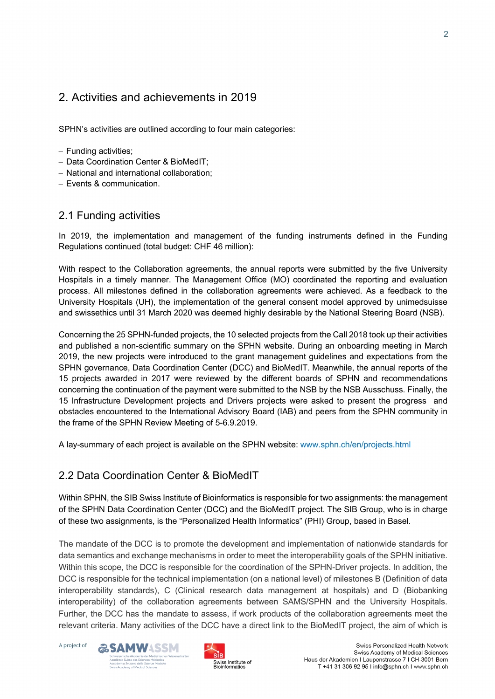# 2. Activities and achievements in 2019

SPHN's activities are outlined according to four main categories:

- Funding activities;
- Data Coordination Center & BioMedIT;
- National and international collaboration;
- Events & communication.

## 2.1 Funding activities

In 2019, the implementation and management of the funding instruments defined in the Funding Regulations continued (total budget: CHF 46 million):

With respect to the Collaboration agreements, the annual reports were submitted by the five University Hospitals in a timely manner. The Management Office (MO) coordinated the reporting and evaluation process. All milestones defined in the collaboration agreements were achieved. As a feedback to the University Hospitals (UH), the implementation of the general consent model approved by unimedsuisse and swissethics until 31 March 2020 was deemed highly desirable by the National Steering Board (NSB).

Concerning the 25 SPHN-funded projects, the 10 selected projects from the Call 2018 took up their activities and published a non-scientific summary on the SPHN website. During an onboarding meeting in March 2019, the new projects were introduced to the grant management guidelines and expectations from the SPHN governance, Data Coordination Center (DCC) and BioMedIT. Meanwhile, the annual reports of the 15 projects awarded in 2017 were reviewed by the different boards of SPHN and recommendations concerning the continuation of the payment were submitted to the NSB by the NSB Ausschuss. Finally, the 15 Infrastructure Development projects and Drivers projects were asked to present the progress and obstacles encountered to the International Advisory Board (IAB) and peers from the SPHN community in the frame of the SPHN Review Meeting of 5-6.9.2019.

A lay-summary of each project is available on the SPHN website: www.sphn.ch/en/projects.html

## 2.2 Data Coordination Center & BioMedIT

Within SPHN, the SIB Swiss Institute of Bioinformatics is responsible for two assignments: the management of the SPHN Data Coordination Center (DCC) and the BioMedIT project. The SIB Group, who is in charge of these two assignments, is the "Personalized Health Informatics" (PHI) Group, based in Basel.

The mandate of the DCC is to promote the development and implementation of nationwide standards for data semantics and exchange mechanisms in order to meet the interoperability goals of the SPHN initiative. Within this scope, the DCC is responsible for the coordination of the SPHN-Driver projects. In addition, the DCC is responsible for the technical implementation (on a national level) of milestones B (Definition of data interoperability standards), C (Clinical research data management at hospitals) and D (Biobanking interoperability) of the collaboration agreements between SAMS/SPHN and the University Hospitals. Further, the DCC has the mandate to assess, if work products of the collaboration agreements meet the relevant criteria. Many activities of the DCC have a direct link to the BioMedIT project, the aim of which is





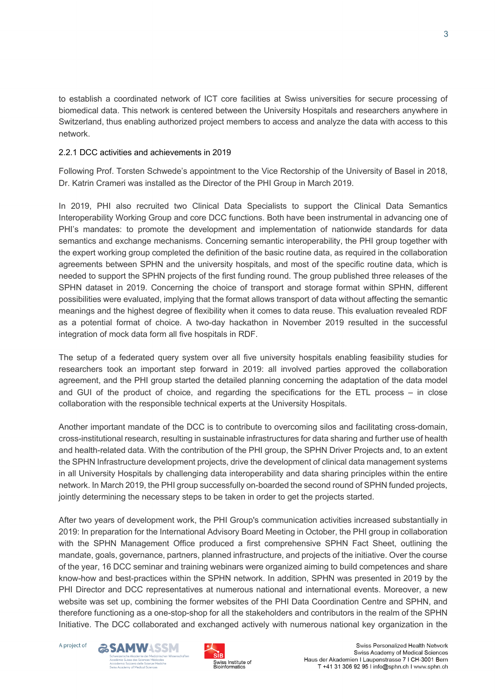to establish a coordinated network of ICT core facilities at Swiss universities for secure processing of biomedical data. This network is centered between the University Hospitals and researchers anywhere in Switzerland, thus enabling authorized project members to access and analyze the data with access to this network.

#### 2.2.1 DCC activities and achievements in 2019

Following Prof. Torsten Schwede's appointment to the Vice Rectorship of the University of Basel in 2018, Dr. Katrin Crameri was installed as the Director of the PHI Group in March 2019.

In 2019, PHI also recruited two Clinical Data Specialists to support the Clinical Data Semantics Interoperability Working Group and core DCC functions. Both have been instrumental in advancing one of PHI's mandates: to promote the development and implementation of nationwide standards for data semantics and exchange mechanisms. Concerning semantic interoperability, the PHI group together with the expert working group completed the definition of the basic routine data, as required in the collaboration agreements between SPHN and the university hospitals, and most of the specific routine data, which is needed to support the SPHN projects of the first funding round. The group published three releases of the SPHN dataset in 2019. Concerning the choice of transport and storage format within SPHN, different possibilities were evaluated, implying that the format allows transport of data without affecting the semantic meanings and the highest degree of flexibility when it comes to data reuse. This evaluation revealed RDF as a potential format of choice. A two-day hackathon in November 2019 resulted in the successful integration of mock data form all five hospitals in RDF.

The setup of a federated query system over all five university hospitals enabling feasibility studies for researchers took an important step forward in 2019: all involved parties approved the collaboration agreement, and the PHI group started the detailed planning concerning the adaptation of the data model and GUI of the product of choice, and regarding the specifications for the ETL process – in close collaboration with the responsible technical experts at the University Hospitals.

Another important mandate of the DCC is to contribute to overcoming silos and facilitating cross-domain, cross-institutional research, resulting in sustainable infrastructures for data sharing and further use of health and health-related data. With the contribution of the PHI group, the SPHN Driver Projects and, to an extent the SPHN Infrastructure development projects, drive the development of clinical data management systems in all University Hospitals by challenging data interoperability and data sharing principles within the entire network. In March 2019, the PHI group successfully on-boarded the second round of SPHN funded projects, jointly determining the necessary steps to be taken in order to get the projects started.

After two years of development work, the PHI Group's communication activities increased substantially in 2019: In preparation for the International Advisory Board Meeting in October, the PHI group in collaboration with the SPHN Management Office produced a first comprehensive SPHN Fact Sheet, outlining the mandate, goals, governance, partners, planned infrastructure, and projects of the initiative. Over the course of the year, 16 DCC seminar and training webinars were organized aiming to build competences and share know-how and best-practices within the SPHN network. In addition, SPHN was presented in 2019 by the PHI Director and DCC representatives at numerous national and international events. Moreover, a new website was set up, combining the former websites of the PHI Data Coordination Centre and SPHN, and therefore functioning as a one-stop-shop for all the stakeholders and contributors in the realm of the SPHN Initiative. The DCC collaborated and exchanged actively with numerous national key organization in the

A project of



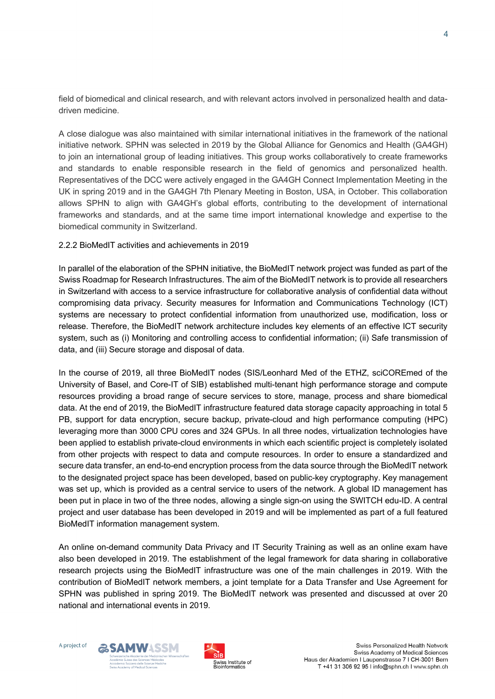field of biomedical and clinical research, and with relevant actors involved in personalized health and datadriven medicine.

A close dialogue was also maintained with similar international initiatives in the framework of the national initiative network. SPHN was selected in 2019 by the Global Alliance for Genomics and Health (GA4GH) to join an international group of leading initiatives. This group works collaboratively to create frameworks and standards to enable responsible research in the field of genomics and personalized health. Representatives of the DCC were actively engaged in the GA4GH Connect Implementation Meeting in the UK in spring 2019 and in the GA4GH 7th Plenary Meeting in Boston, USA, in October. This collaboration allows SPHN to align with GA4GH's global efforts, contributing to the development of international frameworks and standards, and at the same time import international knowledge and expertise to the biomedical community in Switzerland.

#### 2.2.2 BioMedIT activities and achievements in 2019

In parallel of the elaboration of the SPHN initiative, the BioMedIT network project was funded as part of the Swiss Roadmap for Research Infrastructures. The aim of the BioMedIT network is to provide all researchers in Switzerland with access to a service infrastructure for collaborative analysis of confidential data without compromising data privacy. Security measures for Information and Communications Technology (ICT) systems are necessary to protect confidential information from unauthorized use, modification, loss or release. Therefore, the BioMedIT network architecture includes key elements of an effective ICT security system, such as (i) Monitoring and controlling access to confidential information; (ii) Safe transmission of data, and (iii) Secure storage and disposal of data.

In the course of 2019, all three BioMedIT nodes (SIS/Leonhard Med of the ETHZ, sciCOREmed of the University of Basel, and Core-IT of SIB) established multi-tenant high performance storage and compute resources providing a broad range of secure services to store, manage, process and share biomedical data. At the end of 2019, the BioMedIT infrastructure featured data storage capacity approaching in total 5 PB, support for data encryption, secure backup, private-cloud and high performance computing (HPC) leveraging more than 3000 CPU cores and 324 GPUs. In all three nodes, virtualization technologies have been applied to establish private-cloud environments in which each scientific project is completely isolated from other projects with respect to data and compute resources. In order to ensure a standardized and secure data transfer, an end-to-end encryption process from the data source through the BioMedIT network to the designated project space has been developed, based on public-key cryptography. Key management was set up, which is provided as a central service to users of the network. A global ID management has been put in place in two of the three nodes, allowing a single sign-on using the SWITCH edu-ID. A central project and user database has been developed in 2019 and will be implemented as part of a full featured BioMedIT information management system.

An online on-demand community Data Privacy and IT Security Training as well as an online exam have also been developed in 2019. The establishment of the legal framework for data sharing in collaborative research projects using the BioMedIT infrastructure was one of the main challenges in 2019. With the contribution of BioMedIT network members, a joint template for a Data Transfer and Use Agreement for SPHN was published in spring 2019. The BioMedIT network was presented and discussed at over 20 national and international events in 2019.



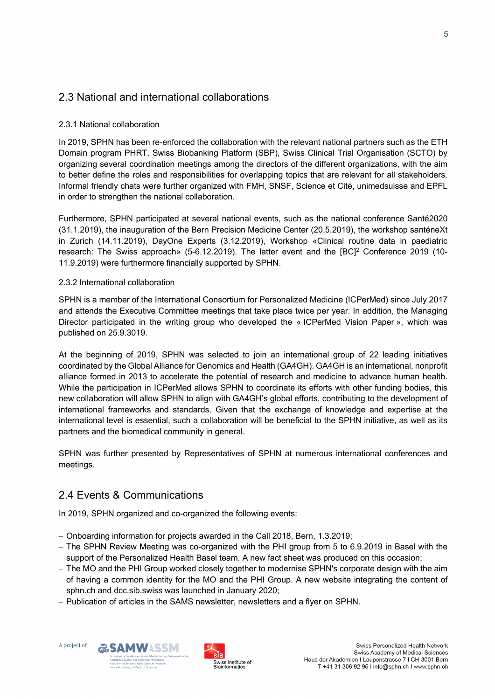## 2.3 National and international collaborations

#### 2.3.1 National collaboration

In 2019, SPHN has been re-enforced the collaboration with the relevant national partners such as the ETH Domain program PHRT, Swiss Biobanking Platform (SBP), Swiss Clinical Trial Organisation (SCTO) by organizing several coordination meetings among the directors of the different organizations, with the aim to better define the roles and responsibilities for overlapping topics that are relevant for all stakeholders. Informal friendly chats were further organized with FMH, SNSF, Science et Cité, unimedsuisse and EPFL in order to strengthen the national collaboration.

Furthermore, SPHN participated at several national events, such as the national conference Santé2020 (31.1.2019), the inauguration of the Bern Precision Medicine Center (20.5.2019), the workshop santéneXt in Zurich (14.11.2019), DayOne Experts (3.12.2019), Workshop «Clinical routine data in paediatric research: The Swiss approach» (5-6.12.2019). The latter event and the IBCl<sup>2</sup> Conference 2019 (10-11.9.2019) were furthermore financially supported by SPHN.

#### 2.3.2 International collaboration

SPHN is a member of the International Consortium for Personalized Medicine (ICPerMed) since July 2017 and attends the Executive Committee meetings that take place twice per year. In addition, the Managing Director participated in the writing group who developed the « ICPerMed Vision Paper », which was published on 25.9.3019.

At the beginning of 2019, SPHN was selected to join an international group of 22 leading initiatives coordinated by the Global Alliance for Genomics and Health (GA4GH). GA4GH is an international, nonprofit alliance formed in 2013 to accelerate the potential of research and medicine to advance human health. While the participation in ICPerMed allows SPHN to coordinate its efforts with other funding bodies, this new collaboration will allow SPHN to align with GA4GH's global efforts, contributing to the development of international frameworks and standards. Given that the exchange of knowledge and expertise at the international level is essential, such a collaboration will be beneficial to the SPHN initiative, as well as its partners and the biomedical community in general.

SPHN was further presented by Representatives of SPHN at numerous international conferences and meetings.

## 2.4 Events & Communications

In 2019, SPHN organized and co-organized the following events:

- Onboarding information for projects awarded in the Call 2018, Bern, 1.3.2019;
- The SPHN Review Meeting was co-organized with the PHI group from 5 to 6.9.2019 in Basel with the support of the Personalized Health Basel team. A new fact sheet was produced on this occasion;
- The MO and the PHI Group worked closely together to modernise SPHN's corporate design with the aim of having a common identity for the MO and the PHI Group. A new website integrating the content of sphn.ch and dcc.sib.swiss was launched in January 2020;
- Publication of articles in the SAMS newsletter, newsletters and a flyer on SPHN.



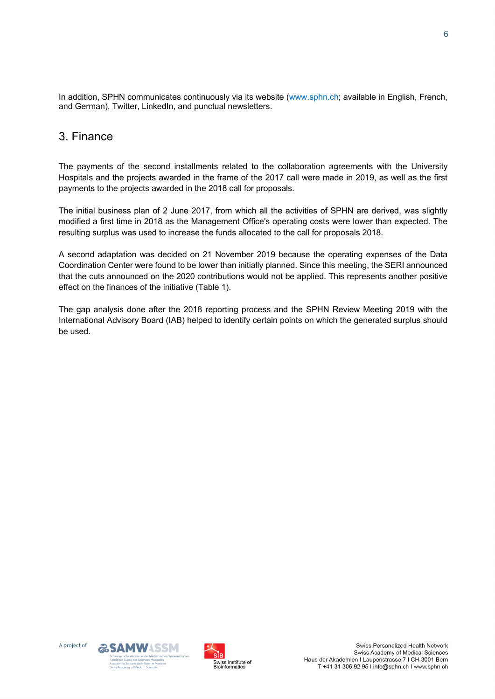In addition, SPHN communicates continuously via its website (www.sphn.ch; available in English, French, and German), Twitter, LinkedIn, and punctual newsletters.

# 3. Finance

The payments of the second installments related to the collaboration agreements with the University Hospitals and the projects awarded in the frame of the 2017 call were made in 2019, as well as the first payments to the projects awarded in the 2018 call for proposals.

The initial business plan of 2 June 2017, from which all the activities of SPHN are derived, was slightly modified a first time in 2018 as the Management Office's operating costs were lower than expected. The resulting surplus was used to increase the funds allocated to the call for proposals 2018.

A second adaptation was decided on 21 November 2019 because the operating expenses of the Data Coordination Center were found to be lower than initially planned. Since this meeting, the SERI announced that the cuts announced on the 2020 contributions would not be applied. This represents another positive effect on the finances of the initiative (Table 1).

The gap analysis done after the 2018 reporting process and the SPHN Review Meeting 2019 with the International Advisory Board (IAB) helped to identify certain points on which the generated surplus should be used.





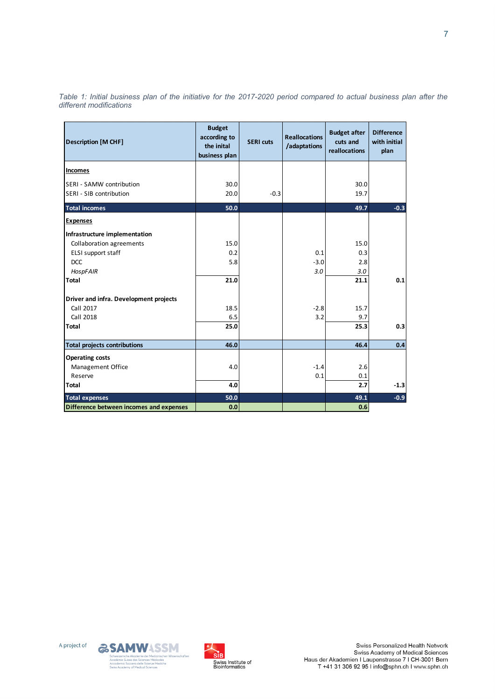| <b>Description [M CHF]</b>                          | <b>Budget</b><br>according to<br>the inital<br>business plan | <b>SERI</b> cuts | <b>Reallocations</b><br>/adaptations | <b>Budget after</b><br>cuts and<br>reallocations | <b>Difference</b><br>with initial<br>plan |
|-----------------------------------------------------|--------------------------------------------------------------|------------------|--------------------------------------|--------------------------------------------------|-------------------------------------------|
| <b>Incomes</b>                                      |                                                              |                  |                                      |                                                  |                                           |
| SERI - SAMW contribution<br>SERI - SIB contribution | 30.0<br>20.0                                                 | $-0.3$           |                                      | 30.0<br>19.7                                     |                                           |
|                                                     |                                                              |                  |                                      |                                                  |                                           |
| <b>Total incomes</b>                                | 50.0                                                         |                  |                                      | 49.7                                             | $-0.3$                                    |
| <b>Expenses</b>                                     |                                                              |                  |                                      |                                                  |                                           |
| Infrastructure implementation                       |                                                              |                  |                                      |                                                  |                                           |
| Collaboration agreements                            | 15.0                                                         |                  |                                      | 15.0                                             |                                           |
| ELSI support staff                                  | 0.2                                                          |                  | 0.1                                  | 0.3                                              |                                           |
| <b>DCC</b>                                          | 5.8                                                          |                  | $-3.0$                               | 2.8                                              |                                           |
| <b>HospFAIR</b>                                     |                                                              |                  | 3.0                                  | 3.0                                              |                                           |
| <b>Total</b>                                        | 21.0                                                         |                  |                                      | 21.1                                             | 0.1                                       |
| Driver and infra. Development projects              |                                                              |                  |                                      |                                                  |                                           |
| Call 2017                                           | 18.5                                                         |                  | $-2.8$                               | 15.7                                             |                                           |
| Call 2018                                           | 6.5                                                          |                  | 3.2                                  | 9.7                                              |                                           |
| <b>Total</b>                                        | 25.0                                                         |                  |                                      | 25.3                                             | 0.3                                       |
| <b>Total projects contributions</b>                 | 46.0                                                         |                  |                                      | 46.4                                             | 0.4                                       |
| <b>Operating costs</b>                              |                                                              |                  |                                      |                                                  |                                           |
| <b>Management Office</b>                            | 4.0                                                          |                  | $-1.4$                               | 2.6                                              |                                           |
| Reserve                                             |                                                              |                  | 0.1                                  | 0.1                                              |                                           |
| <b>Total</b>                                        | 4.0                                                          |                  |                                      | 2.7                                              | $-1.3$                                    |
| <b>Total expenses</b>                               | 50.0                                                         |                  |                                      | 49.1                                             | $-0.9$                                    |
| Difference between incomes and expenses             | 0.0                                                          |                  |                                      | 0.6                                              |                                           |

*Table 1: Initial business plan of the initiative for the 2017-2020 period compared to actual business plan after the different modifications*



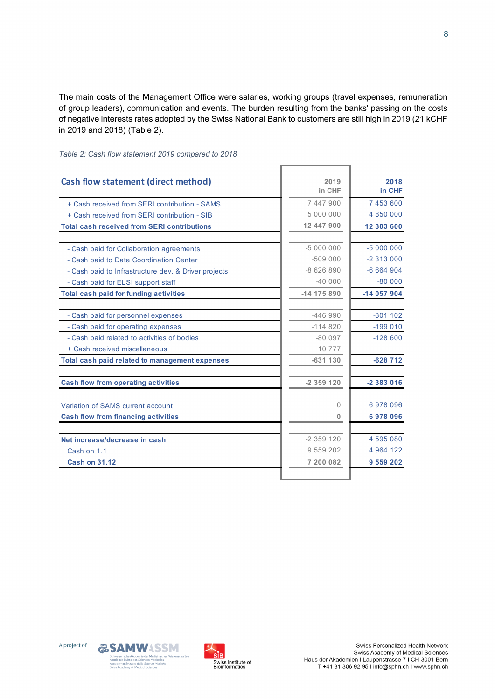The main costs of the Management Office were salaries, working groups (travel expenses, remuneration of group leaders), communication and events. The burden resulting from the banks' passing on the costs of negative interests rates adopted by the Swiss National Bank to customers are still high in 2019 (21 kCHF in 2019 and 2018) (Table 2).

| Cash flow statement (direct method)                  | 2019<br>in CHF | 2018<br>in CHF |
|------------------------------------------------------|----------------|----------------|
| + Cash received from SERI contribution - SAMS        | 7 447 900      | 7 453 600      |
| + Cash received from SERI contribution - SIB         | 5 000 000      | 4 850 000      |
| <b>Total cash received from SERI contributions</b>   | 12 447 900     | 12 303 600     |
| - Cash paid for Collaboration agreements             | $-5000000$     | $-5000000$     |
| - Cash paid to Data Coordination Center              | $-509000$      | $-2313000$     |
| - Cash paid to Infrastructure dev. & Driver projects | $-8626890$     | $-6664904$     |
| - Cash paid for ELSI support staff                   | $-40.000$      | $-80000$       |
| <b>Total cash paid for funding activities</b>        | $-14$ 175 890  | -14 057 904    |
| - Cash paid for personnel expenses                   | -446 990       | $-301102$      |
| - Cash paid for operating expenses                   | $-114820$      | $-199010$      |
| - Cash paid related to activities of bodies          | $-80097$       | $-128600$      |
| + Cash received miscellaneous                        | 10 777         |                |
| Total cash paid related to management expenses       | $-631130$      | $-628712$      |
| <b>Cash flow from operating activities</b>           | $-2359120$     | $-2383016$     |
| Variation of SAMS current account                    | 0              | 6978096        |
| <b>Cash flow from financing activities</b>           | 0              | 6978096        |
| Net increase/decrease in cash                        | $-2359120$     | 4 595 080      |
| Cash on 1.1                                          | 9 559 202      | 4 964 122      |
| <b>Cash on 31.12</b>                                 | 7 200 082      | 9 559 202      |

*Table 2: Cash flow statement 2019 compared to 2018*





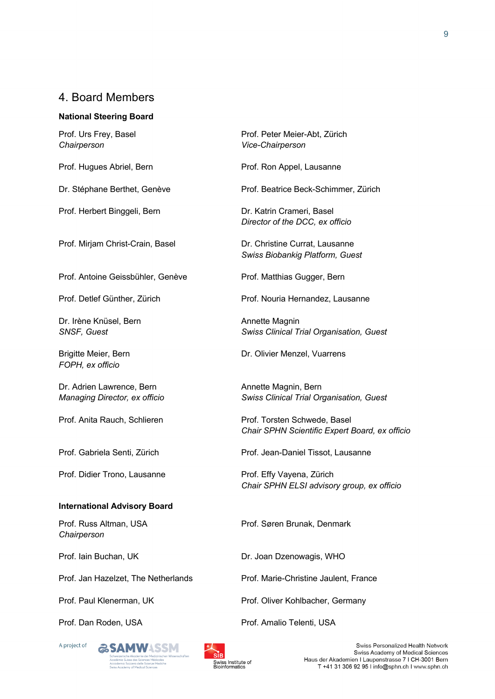## 4. Board Members

#### **National Steering Board**

Prof. Urs Frey, Basel *Chairperson*

Prof. Hugues Abriel, Bern

Dr. Stéphane Berthet, Genève

Prof. Herbert Binggeli, Bern

Prof. Mirjam Christ-Crain, Basel

Prof. Antoine Geissbühler, Genève

Prof. Detlef Günther, Zürich

Dr. Irène Knüsel, Bern *SNSF, Guest*

Brigitte Meier, Bern *FOPH, ex officio*

Dr. Adrien Lawrence, Bern *Managing Director, ex officio*

Prof. Anita Rauch, Schlieren

Prof. Gabriela Senti, Zürich

Prof. Didier Trono, Lausanne

#### **International Advisory Board**

Prof. Russ Altman, USA *Chairperson*

Prof. Iain Buchan, UK

Prof. Jan Hazelzet, The Netherlands

Prof. Paul Klenerman, UK

Prof. Dan Roden, USA







Prof. Peter Meier-Abt, Zürich *Vice-Chairperson*

Prof. Ron Appel, Lausanne

Prof. Beatrice Beck-Schimmer, Zürich

Dr. Katrin Crameri, Basel *Director of the DCC, ex officio*

Dr. Christine Currat, Lausanne *Swiss Biobankig Platform, Guest*

Prof. Matthias Gugger, Bern

Prof. Nouria Hernandez, Lausanne

Annette Magnin *Swiss Clinical Trial Organisation, Guest*

Dr. Olivier Menzel, Vuarrens

Annette Magnin, Bern *Swiss Clinical Trial Organisation, Guest*

Prof. Torsten Schwede, Basel *Chair SPHN Scientific Expert Board, ex officio*

Prof. Jean-Daniel Tissot, Lausanne

Prof. Effy Vayena, Zürich *Chair SPHN ELSI advisory group, ex officio*

Prof. Søren Brunak, Denmark

Dr. Joan Dzenowagis, WHO

Prof. Marie-Christine Jaulent, France

Prof. Oliver Kohlbacher, Germany

Prof. Amalio Telenti, USA

Swiss Personalized Health Network Swiss Academy of Medical Sciences Haus der Akademien I Laupenstrasse 7 I CH-3001 Bern T +41 31 306 92 95 I info@sphn.ch I www.sphn.ch